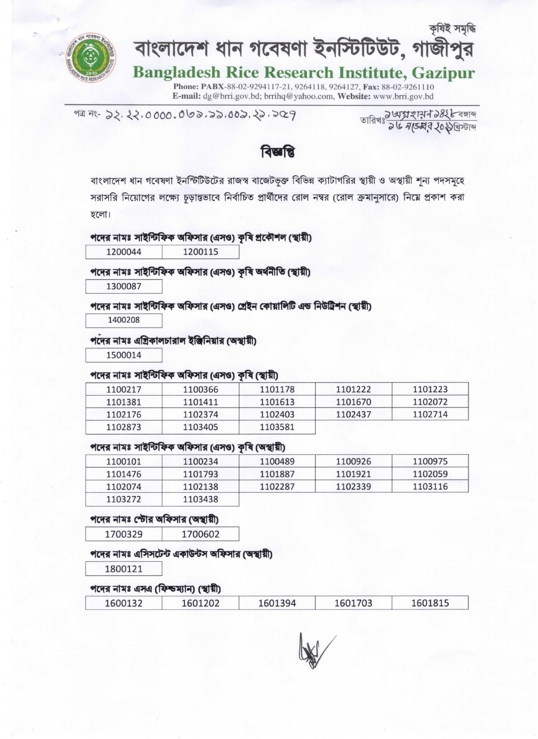

# <sup>কৃষই সমৃদ্ধ</sup><br>বাংলাদেশ ধান গবেষণা ইনস্টিটিউট, গাজীপুর

## Bangladesh Rice Research Institute, Gazipur

Phone: PABX-88-02-9294117-21, 9264118, 9264127, Fax: 88-02-9261110 E-mail: dg@brri.gov.bd; brrihq@yahoo.com, Website: www.brri.gov.bd

পত্ৰ নং- ১২. ২২.০০০০. ০৩১.১১.০০১. ২১. ১০০ P<br>তারিখঃ *১৬সা বা অনুসাৰ আক্রান কার্যান কার্যান* সংক্রান কার্যালিক কার্যালিক কার্যালিক কার্যালিক কার্যালিক কার্যাল

বিজ্ঞাপ্তি

বাংলাদেশ ধান গবেষণা ইনস্টিটিউটের রাজস্ব বাজেটভূক্ত বিভিন্ন ক্যাটাগরির স্থায়ী ও অস্থায়ী শূন্য পদসমূহে সরাসরি নিয়োগের লক্ষ্যে চড়ান্তভাবে নির্বাচিত প্রার্থীদের রোল নম্বর (রোল ক্রমানুসারে) নিম্নে প্রকাশ করা হলো।

### পদের নামঃ সাইন্টিফিক অফিসার (এসও) কৃষি প্রকৌশল (স্থায়ী)

1200044 1200115

### পদের নামঃ সাইন্টিফিক অফিসার (এসও) কৃষি অর্থনীতি (স্থায়ী)

1300087

### পদের নামঃ সাইন্টিফিক অফিসার (এসও) গ্রেইন কোয়ালিটি এন্ড নিউট্রিশন (স্থায়ী)

1400208

### পদের নামঃ এগ্রিকালচারাল ইঞ্জিনিয়ার (অস্থায়ী)

1500014

### পদের নামঃ সাইন্টিফিক অফিসার (এসও) কৃষি (স্থায়ী)

| 1100217 | 1100366 | 1101178 | 1101222 | 1101223 |
|---------|---------|---------|---------|---------|
| 1101381 | 1101411 | 1101613 | 1101670 | 1102072 |
| 1102176 | 1102374 | 1102403 | 1102437 | 1102714 |
| 1102873 | 1103405 | 1103581 |         |         |

### পদের নামঃ সাইন্টিফিক অফিসার (এসও) কষি (অস্থায়ী)

| 1100101 | 1100234 | 1100489 | 1100926 | 1100975 |
|---------|---------|---------|---------|---------|
| 1101476 | 1101793 | 1101887 | 1101921 | 1102059 |
| 1102074 | 1102138 | 1102287 | 1102339 | 1103116 |
| 1103272 | 1103438 |         |         |         |

### পদের নামঃ স্টোর অফিসার (অস্থায়ী)

1700329 1700602

### পদের নামঃ এসিসটেন্ট একাউন্টস অফিসার (অস্থায়ী)

1800121

### পদের নামঃ এসএ (ফিল্ডম্যান) (স্থায়ী)

| 1600132 | 1601202 | 394<br>601- | 1703 | 160181F |
|---------|---------|-------------|------|---------|
|---------|---------|-------------|------|---------|

tw/